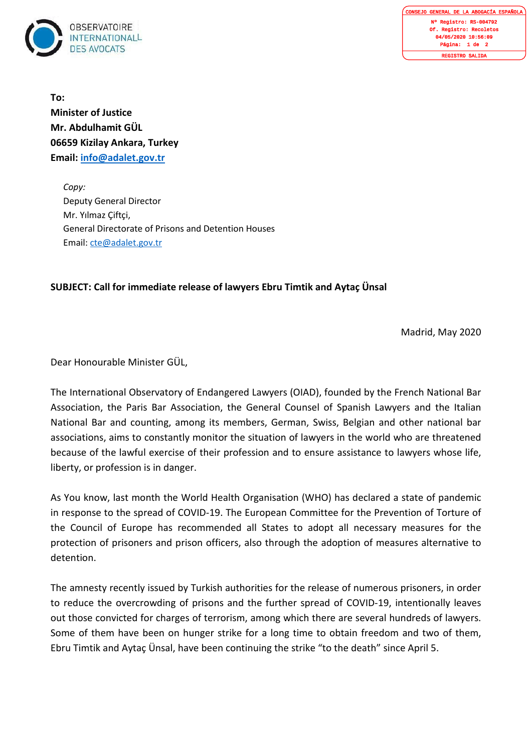

GENERAL DE LA ABOGACÍA ESPAÑOLA egistro: RS-004792 Of. Registro: Recoletos 04/05/2020 10:56:09 Página: 1 de 2 ISTRO SALIDA

**To: Minister of Justice Mr. Abdulhamit GÜL 06659 Kizilay Ankara, Turkey Email: [info@adalet.gov.tr](mailto:info@adalet.gov.tr)**

*Copy:*  Deputy General Director Mr. Yılmaz Çiftçi, General Directorate of Prisons and Detention Houses Email: [cte@adalet.gov.tr](mailto:cte@adalet.gov.tr)

## **SUBJECT: Call for immediate release of lawyers Ebru Timtik and Aytaç Ünsal**

Madrid, May 2020

Dear Honourable Minister GÜL,

The International Observatory of Endangered Lawyers (OIAD), founded by the French National Bar Association, the Paris Bar Association, the General Counsel of Spanish Lawyers and the Italian National Bar and counting, among its members, German, Swiss, Belgian and other national bar associations, aims to constantly monitor the situation of lawyers in the world who are threatened because of the lawful exercise of their profession and to ensure assistance to lawyers whose life, liberty, or profession is in danger.

As You know, last month the World Health Organisation (WHO) has declared a state of pandemic in response to the spread of COVID-19. The European Committee for the Prevention of Torture of the Council of Europe has recommended all States to adopt all necessary measures for the protection of prisoners and prison officers, also through the adoption of measures alternative to detention.

The amnesty recently issued by Turkish authorities for the release of numerous prisoners, in order to reduce the overcrowding of prisons and the further spread of COVID-19, intentionally leaves out those convicted for charges of terrorism, among which there are several hundreds of lawyers. Some of them have been on hunger strike for a long time to obtain freedom and two of them, Ebru Timtik and Aytaç Ünsal, have been continuing the strike "to the death" since April 5.